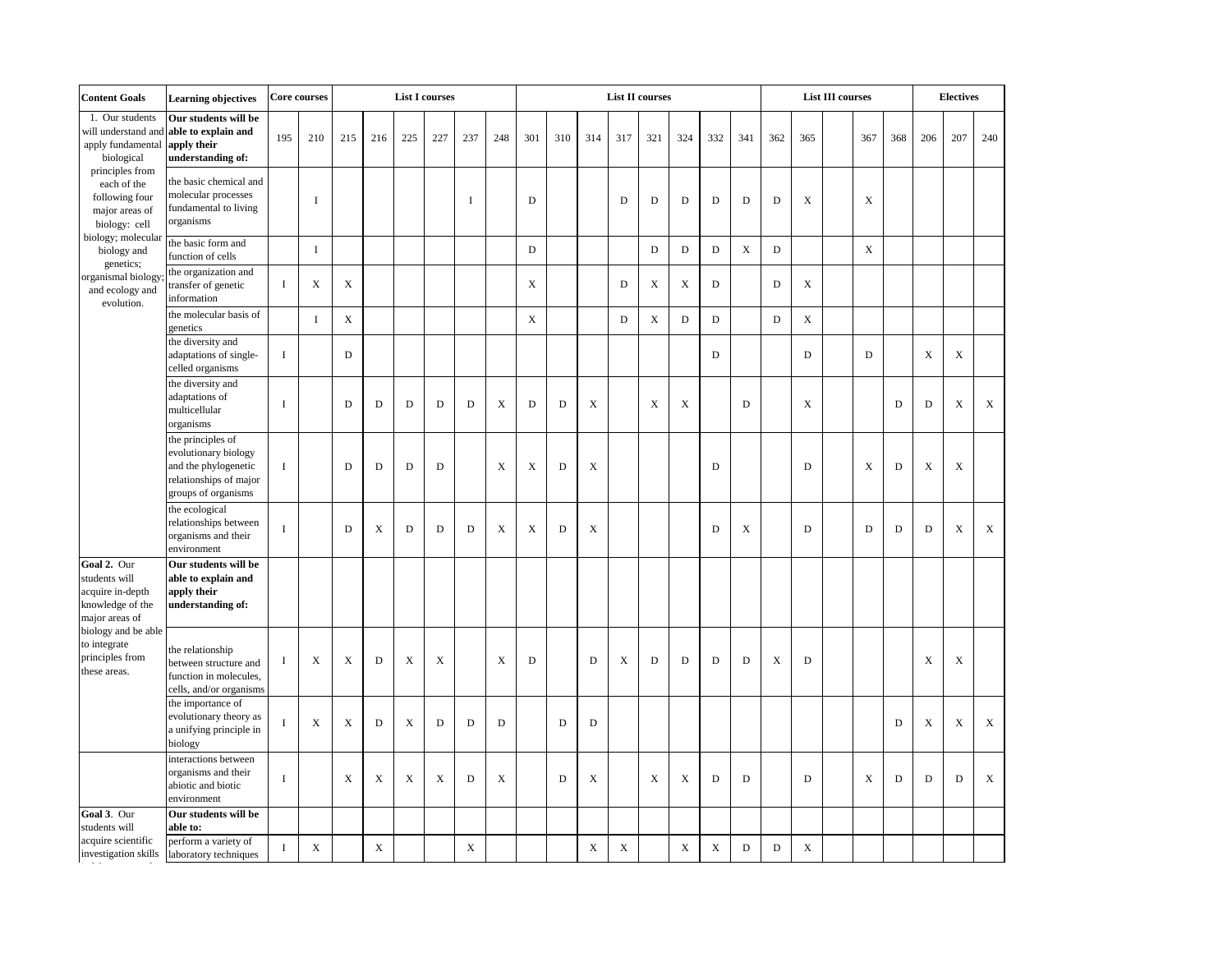| <b>Content Goals</b><br><b>Core courses</b><br><b>Learning objectives</b>                                                                                        |                                                                                                                    |              |             |             | <b>List I courses</b> |             |             |     |             |             |             | List II courses |             |             |             |             |             |             |             |  | <b>List III courses</b> |             |             |             |             |  |
|------------------------------------------------------------------------------------------------------------------------------------------------------------------|--------------------------------------------------------------------------------------------------------------------|--------------|-------------|-------------|-----------------------|-------------|-------------|-----|-------------|-------------|-------------|-----------------|-------------|-------------|-------------|-------------|-------------|-------------|-------------|--|-------------------------|-------------|-------------|-------------|-------------|--|
| 1. Our students<br>will understand and<br>apply fundamental<br>biological<br>principles from<br>each of the<br>following four<br>major areas of<br>biology: cell | Our students will be<br>able to explain and<br>apply their<br>understanding of:                                    | 195          | 210         | 215         | 216                   | 225         | 227         | 237 | 248         | 301         | 310         | 314             | 317         | 321         | 324         | 332         | 341         | 362         | 365         |  | 367                     | 368         | 206         | 207         | 240         |  |
|                                                                                                                                                                  | the basic chemical and<br>molecular processes<br>fundamental to living<br>organisms                                |              | $\bf{I}$    |             |                       |             |             | I   |             | $\mathbf D$ |             |                 | D           | $\mathbf D$ | $\mathbf D$ | $\mathbf D$ | $\mathbf D$ | $\mathbf D$ | X           |  | X                       |             |             |             |             |  |
| biology; molecular<br>biology and<br>genetics;                                                                                                                   | the basic form and<br>function of cells                                                                            |              | $\bf I$     |             |                       |             |             |     |             | $\mathbf D$ |             |                 |             | ${\bf D}$   | $\mathbf D$ | $\mathbf D$ | $\mathbf X$ | $\mathbf D$ |             |  | $\mathbf X$             |             |             |             |             |  |
| organismal biology<br>and ecology and<br>evolution.                                                                                                              | the organization and<br>transfer of genetic<br>information                                                         | $\bf{I}$     | X           | X           |                       |             |             |     |             | $\mathbf X$ |             |                 | D           | X           | X           | D           |             | D           | X           |  |                         |             |             |             |             |  |
|                                                                                                                                                                  | the molecular basis of<br>genetics                                                                                 |              | $\rm I$     | $\mathbf X$ |                       |             |             |     |             | $\mathbf X$ |             |                 | $\mathbf D$ | $\mathbf X$ | $\mathbf D$ | $\mathbf D$ |             | $\mathbf D$ | $\mathbf X$ |  |                         |             |             |             |             |  |
|                                                                                                                                                                  | the diversity and<br>adaptations of single-<br>celled organisms                                                    | $\bf{I}$     |             | D           |                       |             |             |     |             |             |             |                 |             |             |             | D           |             |             | D           |  | D                       |             | X           | $\mathbf X$ |             |  |
|                                                                                                                                                                  | the diversity and<br>adaptations of<br>multicellular<br>organisms                                                  | $\bf{I}$     |             | D           | D                     | $\mathbf D$ | D           | D   | $\mathbf X$ | $\mathbf D$ | $\mathbf D$ | $\mathbf X$     |             | X           | $\mathbf X$ |             | $\mathbf D$ |             | $\mathbf X$ |  |                         | $\mathbf D$ | $\mathbf D$ | $\mathbf X$ | $\mathbf X$ |  |
|                                                                                                                                                                  | the principles of<br>evolutionary biology<br>and the phylogenetic<br>relationships of major<br>groups of organisms | $\mathbf{I}$ |             | D           | D                     | D           | D           |     | X           | X           | $\mathbf D$ | X               |             |             |             | D           |             |             | D           |  | X                       | $\mathbf D$ | X           | X           |             |  |
|                                                                                                                                                                  | the ecological<br>relationships between<br>organisms and their<br>environment                                      | $\mathbf I$  |             | D           | X                     | D           | D           | D   | X           | X           | D           | X               |             |             |             | D           | X           |             | D           |  | D                       | D           | D           | X           | X           |  |
| Goal 2. Our<br>students will<br>acquire in-depth<br>knowledge of the<br>major areas of                                                                           | Our students will be<br>able to explain and<br>apply their<br>understanding of:                                    |              |             |             |                       |             |             |     |             |             |             |                 |             |             |             |             |             |             |             |  |                         |             |             |             |             |  |
| biology and be able<br>to integrate<br>principles from<br>these areas.                                                                                           | the relationship<br>between structure and<br>function in molecules,<br>cells, and/or organisms                     | $\bf{I}$     | X           | X           | D                     | X           | $\mathbf X$ |     | X           | D           |             | D               | X           | D           | D           | D           | D           | X           | D           |  |                         |             | X           | X           |             |  |
|                                                                                                                                                                  | the importance of<br>evolutionary theory as<br>a unifying principle in<br>biology                                  |              | X           | X           | D                     | $\mathbf X$ | ${\bf D}$   | D   | $\mathbf D$ |             | $\mathbf D$ | $\mathbf D$     |             |             |             |             |             |             |             |  |                         | $\mathbf D$ | $\mathbf X$ | $\mathbf X$ | $\mathbf X$ |  |
|                                                                                                                                                                  | interactions between<br>organisms and their<br>abiotic and biotic<br>environment                                   | $\mathbf{I}$ |             | X           | X                     | X           | X           | D   | X           |             | D           | X               |             | X           | X           | D           | D           |             | D           |  | X                       | D           | D           | D           | $\mathbf X$ |  |
| Goal 3. Our<br>students will                                                                                                                                     | Our students will be<br>able to:                                                                                   |              |             |             |                       |             |             |     |             |             |             |                 |             |             |             |             |             |             |             |  |                         |             |             |             |             |  |
| acquire scientific<br>investigation skills                                                                                                                       | perform a variety of<br>laboratory techniques                                                                      | $\bf{I}$     | $\mathbf X$ |             | $\mathbf X$           |             |             | X   |             |             |             | $\mathbf X$     | $\mathbf X$ |             | $\mathbf X$ | $\mathbf X$ | $\mathbf D$ | $\mathbf D$ | $\mathbf X$ |  |                         |             |             |             |             |  |